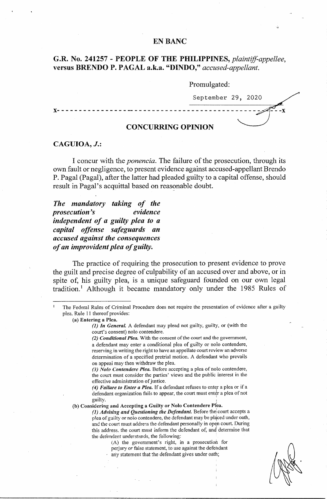# **EN BANC**

# **G.R. No. 241257** - **PEOPLE OF THE PHILIPPINES,** *plaintiff-appellee,*  **versus BRENDO P. PAGAL a.k.a. "DINDO,"** *accused-appellant.*

## Promulgated:

September 29, 2020

**CONCURRING OPINION** 

**X** - - - - - - - - - - - - - - - - -- - - - - - - - - - - - - - - - - - - - - - - - - - - - - - .,·:"'·· - - - **X** 

## **CAGUIOA,** *J.:*

I concur with the *ponencia.* The failure of the prosecution, through its own fault or negligence, to present evidence against accused-appellant Brendo P. Pagal (Pagal), after the latter had pleaded guilty to a capital offense, should result in Pagal's acquittal based on reasonable doubt.

*The mandatory taking of the prosecution 's evidence independent of a guilty plea to a capital offense safeguards an accused against the consequences of an improvident plea of guilty.* 

The practice of requiring the prosecution to present evidence to prove the guilt and precise degree of culpability of an accused over and above, or in spite of, his guilty plea, is a unique safeguard founded on our own legal tradition.<sup>1</sup> Although it became mandatory only under the 1985 Rules of

The Federal Rules of Criminal Procedure does not require the presentation of evidence after a guilty plea. Rule 11 thereof provides:

**(a) Entering a Plea.** 

*(]) In General.* A defendant may plead not guilty, guilty, or (with the court's consent) nolo contendere.

*(2) Conditional Plea.* With the consent of the court and the government, a defendant may enter a conditional plea of guilty or nolo contendere, reserving in writing the right to have an appellate court review an adverse determination of a specified pretrial motion. A defendant who prevails on appeal may then withdraw the plea.

*(3) Nolo Contendere Plea.* Before accepting a plea of nolo contendere, the court must consider the parties' views and the public interest in the effective administration of justice.

*(4) Failure to Enter a Plea.* If a defendant refuses to enter a plea or if a defendant organization fails to appear, the court must enter a plea of not guilty.

(b) Considering and Accepting a Guilty or Nolo Contendere Plea.

*(1) Advising and Questioning the Defendant.* Before thei court accepts a plea of guilty or nolo contendere, the defendant may be placed under oath, and the court must address the defendant personally in open court. During this address. the court must inform the defendant of, and determine that the defendant understands, the following:

(A) the government's right, in a prosecution for perjury or false statement, to use against the defendant

any statement that the defendant gives under oath;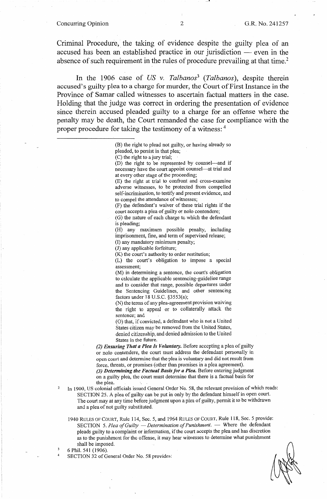## Concurring Opinion 2 G.R. No. 241257

Criminal Procedure, the taking of evidence despite the guilty plea of an accused has been an established practice in our jurisdiction  $-$  even in the absence of such requirement in the rules of procedure prevailing at that time.<sup>2</sup>

In the 1906 case of *US* v. *Talbanos3 (Talbanos),* despite therein accused's guilty plea to a charge for murder, the Court of First Instance in the Province of Samar called witnesses to ascertain factual matters in the case. Holding that the judge was correct in ordering the presentation of evidence since therein accused pleaded guilty to a charge for an offense where the penalty may be death, the Court remanded the case for compliance with the proper procedure for taking the testimony of a witness: 4

> (B) the right to plead not guilty, or having already so pleaded, to persist in that plea;

(C) the right to a jury trial;

(D) the right to be represented by counsel-and if necessary have the court appoint counsel-at trial and at every other stage of the proceeding;

(E) the right at trial to confront and cross-examine adverse witnesses, to be protected from compelled self-incrimination, to testify and present evidence, and to compel the attendance of witnesses;

(F) the defendant's waiver of these trial rights if the court accepts a plea of guilty or nolo contendere;

(G) the nature of each charge to which the defendant is pleading;

(H) any maximum possible penalty, including imprisonment, fine, and term of supervised release;

(I) any mandatory minimum penalty;

(J) any applicable forfeiture;

(K) the court's authority to order restitution;

(L) the court's obligation to impose a special assessment;

(M) in determining a sentence, the court's obligation to calculate the applicable sentencing-guideline range and to consider that range, possible departures under the Sentencing Guidelines, and other sentencing factors under 18 U.S.C. §3553(a);

(N) the terms of any plea-agreement provision waiving the right to appeal or to collaterally attack the sentence; and

(0) that, if convicted, a defendant who is not a United States citizen may be removed from the United States, denied citizenship, and denied admission to the United States in the future.

(2) *Ensuring That a Plea Is Voluntary.* Before accepting a plea of guilty or nolo contendere, the court must address the defendant personally in open court and determine that the plea is voluntary and did not result from force, threats, or promises (other than promises in a plea agreement). *(3) Determining the Factual Basis/or a Plea.* Before entering judgment on a guilty plea, the court must determine that there is a factual basis for the plea.

- In 1900, US colonial officials issued General Order No. 58, the relevant provision of which reads: SECTION 25. A plea of guilty can be put in only by the defendant himself in open court. The court may at any time before judgment upon a plea of guilty, permit it to be withdrawn and a plea of not guilty substituted.
	- 1940 RULES OF COURT, Rule 114, Sec. 5, and 1964 RULES OF COURT, Rule 118, Sec. 5 provide: SECTION 5. Plea of Guilty - *Determination of Punishment*. - Where the defendant pleads guilty to a complaint or information, if the court accepts the plea and has discretion as to the punishment for the offense, it may hear witnesses to determine what punishment shall be imposed.

6 Phil. 541 ( 1906).

2

4

SECTION 32 of General Order No. 58 provides: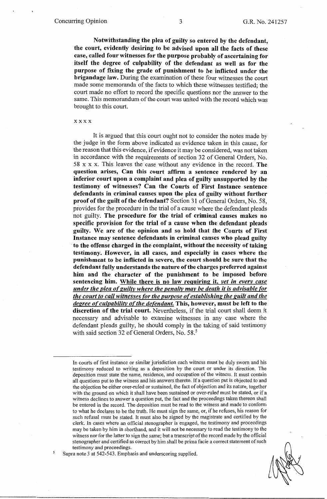**Notwithstanding the plea of guilty so entered by the defendant, the court, evidently desiring to be advised upon all the facts of these case, called four witnesses for the purpose probably of ascertaining for itself the degree of culpability of the defendant as well as for the purpose of fixing the grade of punishment to be inflicted under the brigandage law.** During the examination of these four witnesses the court made some memoranda of the facts to which these witnesses testified; the court made no effort to record the specific questions nor the answer to the same. This memorandum of the court was united with the record which was brought to this court.

#### **xxxx**

It is argued that this court ought not to consider the notes made by the judge in the form above indicated as evidence taken in this cause, for the reason that this evidence, if evidence it may be considered, was not taken in accordance with the requirements of section 32 of General Orders, No. 58 x x x. This leaves the case without any evidence in the record. **The question arises, Can this court affirm a sentence rendered by an inferior court upon a complaint and plea of guilty unsupported by the testimony of witnesses? Can the Courts of First Instance sentence defendants in criminal causes upon the plea of guilty without further proof of the guilt of the defendant?** Section 31 of General Orders, No. 58, provides for the procedure in the trial of a cause where the defendant pleads not guilty. **The procedure for the trial of criminal causes makes no specific provision for the trial of a cause when the defendant pleads guilty. We are of the opinion and so hold that the Courts of First Instance may sentence defendants in criminal causes who plead guilty to the offense charged in the complaint, without the necessity of taking testimony. However, in all cases, and especially in cases where the punishment to be inflicted in severe, the court should be sure that the defendant fully understands the nature of the charges preferred against him and the character of the punishment to be imposed before sentencing him. While there is no law requiring it,** *vet in every case under the plea ofguilty where the penalty may be death it is advisable for the court to call witnesses for the purpose of establishing the guilt and the degree of culpability of the defendant.* **This, however, must be left to the discretion of the trial court.** Nevertheless, if the trial court shall deem it necessary and advisable to examine witnesses in any case where the defendant pleads guilty, he should comply in the taking of said testimony with said section 32 of General Orders, No. 58.<sup>5</sup>

Supra note 3 at 542-543. Emphasis and underscoring supplied.

In courts of first instance or similar jurisdiction each witness must be duly sworn and his testimony reduced to writing as a deposition by the court or under its direction. The deposition must state the name, residence, and occupation of the witness. It must contain all questions put to the witness and his answers thereto. If a question put is objected to and the objection be either over-ruled or sustained, the fact of objection and its nature, together with the ground on which it shall have been sustained or over-ruled must be stated, or if a witness declines to answer a question put, the fact and the proceedings taken thereon shall be entered in the record. The deposition must be read to the witness and made to conform to what he declares to be the truth. He must sign the same, or, if he refuses, his reason for such refusal must be stated. It must also be signed by the magistrate and certified by the clerk. In cases where an official stenographer is engaged, the testimony and proceedings may be taken by him in shorthand, and it will not be necessary to read the testimony to the witness nor for the latter to sign the same; but a transcript of the record made by the official stenographer and certified as correct by him shall be prima facie a correct statement of such testimony and proceedings.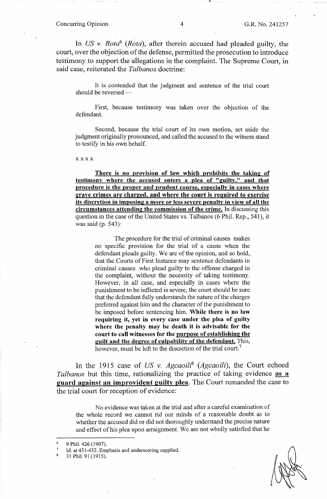In· *US* v. *Rota6 (Rota),* after therein accused had pleaded guilty, the court, over the objection of the defense, permitted the prosecution to introduce testimony to support the allegations in the complaint. The Supreme Court, in said case, reiterated the *Talbanos.* doctrine:

**.. L** 

It is contended that the judgment and sentence of the trial court should be reversed -

First, because testimony was taken over the objection of the defendant.

Second, because the trial court of its own motion, set aside the judgment originally pronounced, and called the accused to the witness stand to testify in his own behalf.

#### **xxxx**

**There is no provision of law which prohibits the taking of testimony where the accused enters a plea of "guilty," and that procedure is the proper and prudent course, especially in cases where grave crimes are charged, and where the court is required to exercise its discretion in imposing a more or less severe penalty in view of all the circumstances attending the commission of the crime.** In discussing this question in the case of the United States vs. Talbanos (6 Phil. Rep., 541), it was said (p. 543):

The procedure for the trial of criminal causes makes no specific provision for the trial of a cause when the defendant pleads guilty. We are of the opinion, and so hold,. that the Courts of First Instance may sentence defendants in criminal causes who plead guilty to the offense charged in the complaint, without the necessity of taking testimony. However, in all case, and especially in cases where the punishment to be inflicted is severe, the court should be sure that the defendant fully understands the nature of the charges preferred against him and the character of the punishment to be imposed before sentencing him. **While there is no law requiring it, yet in every case under the plea of guilty where the penalty may be death it is advisable for the court to call witnesses for the purpose of establishing the guilt and the degree of culpability of the defendant.** This, however, must be left to the discretion of the trial court.<sup>7</sup>

In the 1915 case of *US v. Agcaoili<sup>8</sup> (Agcaoili)*, the Court echoed *Talbanos* but this time, rationalizing the practice of taking evidence **as a guard against an improvident guilty plea.** The Court remanded the case to the trial court for reception of evidence:

No evidence was taken at the trial and after a careful examination of the whole record we cannot rid our minds of a reasonable doubt as to whether the accused did or did not thoroughly understand the precise nature and effect of his plea upon arraignment. \Ve are not wholly satisfied that he

31 Phil. 91 (1915).

<sup>9</sup> Phil. 426 (1907).

Id. at 431-432. Emphasis and underscoring supplied.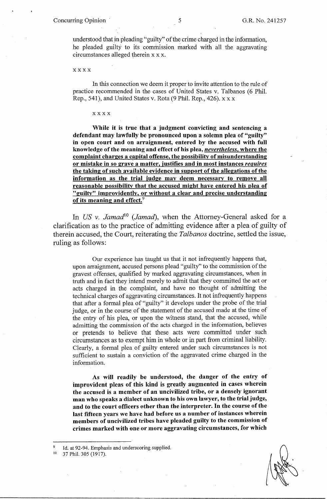understood that in pleading "guilty" of the crime charged in the information, he pleaded guilty to its commission marked with all the aggravating circumstances alleged therein x x x.

xxxx

In this connection we deem it proper to invite attention to the rule of practice recommended in the cases of United States v. Talbanos (6 Phil. Rep., 541), and United States v. Rota (9 Phil. Rep., 426). xx x

### xxxx

**While it is true that a \_judgment convicting and sentencing a defendant may lawfully be pronounced upon a solemn plea of "guilty" in open court and on arraignment, entered by the accused with full knowledge of the meaning and effect of his plea,** *nevertheless.* **where the complaint charges a capital offense, the possibility of misunderstanding or mistake in so grave a matter, justifies and in most instances** *requires*  **the taking of such available evidence in support of the allegations of the information as the trial judge may deem necessary to remove all reasonable possibility that the accused might have. entered his plea of "guilty" improvidently, or without a clear and precise understanding of its meaning and effect.<sup>9</sup>**

In *US v. Jamad*<sup>10</sup> (*Jamad*), when the Attorney-General asked for a clarification as to the practice of admitting evidence after a plea of guilty of therein accused, the Court, reiterating the *Talbanos* doctrine, settled the issue, ruling as follows:

Our experience has taught us that it not infrequently happens that, upon arraignment, accused persons plead "guilty" to the commission of the gravest offenses, qualified by marked aggravating circumstances, when in truth and in fact they intend merely to admit that they committed the act or acts charged in the complaint, and have no thought of admitting the technical charges of aggravating circumstances. It not infrequently happens that after a formal plea of "guilty" it develops under the probe of the trial judge, or in the course of the statement of the accused made at the time of the entry of his plea, or upon the witness stand, that the accused, while admitting the commission of the acts charged in the information, believes or pretends to believe that these acts were committed under such circumstances as to exempt him in whole or in part from criminal liability. Clearly, a formal plea of guilty entered under such circumstances is not sufficient to sustain a conviction of the aggravated crime charged in the information.

**As will readily be understood, the danger of the entry of improvident pleas of this kind is greatly augmented in cases wherein the accused is a member of an uncivilized tribe, or a densely ignorant man who speaks a dialect unknown to his own lawyer, to the trial judge, and to the court officers other than the interpreter. In the course of the last fifteen years we have had before us a number of instances wherein members of uncivilized tribes have pleaded guilty to the commission of crimes marked with one or more aggravating circumstances, for which** 

<sup>&</sup>lt;sup>9</sup> Id. at 92-94. Emphasis and underscoring supplied.<br><sup>10</sup> 37 Phil. 305 (1917).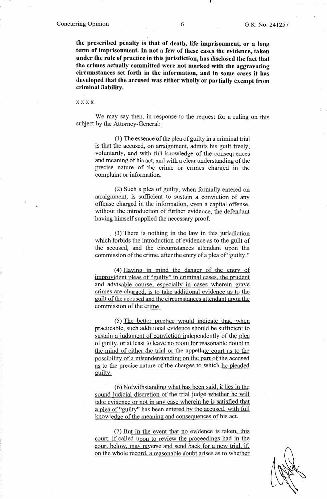**the prescribed penalty is that of death, life imprisonment, or a long**  term of imprisonment. In not a few of these cases the evidence, taken **under the rule of practice in this jurisdiction, has disclosed the fact that the crimes actually committed were not marked with the aggravating circumstances set forth in the information, and in some cases it has developed that the accused was either wholly or partially exempt from criminal liability.** 

xxxx

We may say then, in response to the request for a ruling on this subject by the Attorney-General:

(1) The essence of the plea of guilty in a criminal trial is that the accused, on arraignment, admits his guilt freely, voluntarily, and with full knowledge of the consequences and meaning of his act, and with a clear understanding of the precise nature of the crime or crimes charged in the complaint or information.

(2) Such a plea of guilty, when formally entered on arraigmnent, is sufficient to sustain a conviction of any offense charged in the information, even a capital offense, without the introduction of further evidence, the defendant having himself supplied the necessary proof.

(3) There is nothing in the law in this jurisdiction which forbids the introduction of evidence as to the guilt of the accused, and the circumstances attendant upon the commission of the crime, after the entry of a plea of "guilty."

( 4) Having in mind the danger of the entry of improvident pleas of "guilty" in criminal cases, the prudent and advisable course, especially in cases wherein grave crimes are charged, is to take additional evidence as to the guilt of the accused and the circumstances attendant upon the commission of the crime.

( 5) The better practice would indicate that, when practicable, such additional evidence should be sufficient to sustain a judgment of conviction independently of the plea of guilty, or at least to leave no room for reasonable doubt in the mind of either the trial or the appellate court as to the possibility of a misunderstanding on the part of the accused as to the precise nature of the charges to which he pleaded guilty.

(6) Notwithstanding what has been said, it lies in the sound judicial discretion of the trial judge whether he will take evidence or not in any case wherein he is satisfied that a plea of "guilty" has been entered by the accused, with full knowledge of the meaning and consequences of his act.

(7) But in the event that no evidence is taken, this court, if called upon to review the proceedings had in the court below, may reverse and send back for a new trial, if, on the whole record, a reasonable doubt arises as to whether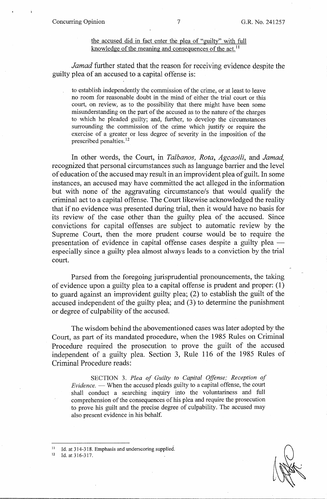# the accused did in fact enter the plea of "guilty" with full knowledge of the meaning and consequences of the act.<sup>11</sup>

*Jamad* further stated that the reason for receiving evidence despite the guilty plea of an accused to a capital offense is:

to establish independently the commission of the crime, or at least to leave no room for reasonable doubt in the mind of either the trial court or this court, on review, as to the possibility that there might have been some misunderstanding on the part of the accused as to the nature of the charges to which he pleaded guilty; and, further, to develop the circumstances surrounding the commission of the crime which justify or require the exercise of a greater or less degree of severity in the imposition of the prescribed penalties. 12

In other words, the Court, in *Talbanos, Rota, Agcaoili,* and *Jamad,*  recognized that personal circumstances such as language barrier and the level of education of the accused may result in an improvident plea of guilt. In some instances, an accused may have committed the act alleged in the information but with none of the aggravating circumstance/s that would qualify the criminal act to a capital offense. The Court likewise acknowledged the reality that if no evidence was presented during trial, then it would have no basis for its review of the case other than the guilty plea of the accused. Since convictions for capital offenses are subject to automatic review by the Supreme Court, then the more prudent course would be to require the presentation of evidence in capital offense cases despite a guilty plea especially since a guilty plea almost always leads to a conviction by the trial court.

Parsed from the foregoing jurisprudential pronouncements, the taking of evidence upon a guilty plea to a capital offense is prudent and proper: (1) to guard against an improvident guilty plea; (2) to establish the guilt of the accused independent of the guilty plea; and (3) to determine the punishment or degree of culpability of the accused.

The wisdom behind the abovementioned cases was later adopted by the Court, as part of its mandated procedure, when the 1985 Rules on Criminal Procedure required the prosecution to prove the guilt of the accused independent of a guilty plea. Section 3, Rule 116 of the 1985 Rules of Criminal Procedure reads:

SECTION 3. *Plea of Guilty to Capital Offense; Reception of Evidence.* — When the accused pleads guilty to a capital offense, the court shall conduct a searching inquiry into the voluntariness and full comprehension of the consequences of his plea and require the prosecution to prove his guilt and the precise degree of culpability. The accused may also present evidence in his behalf.

<sup>11</sup> Id. at 314-318. Emphasis and underscoring supplied.<br><sup>12</sup> Id. at 316-317.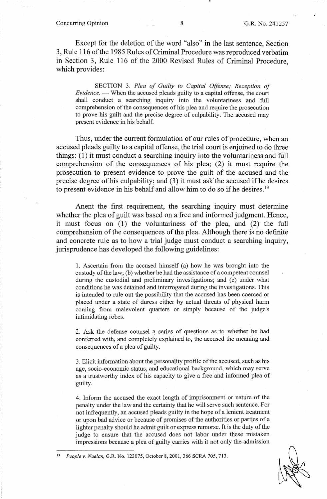#### **Concurring Opinion** 8 **B.R. No. 241257**

Except for the deletion of the word "also" in the last sentence, Section 3, Rule 116 of the 1985 Rules of Criminal Procedure was reproduced verbatim in Section 3, Rule 116 of the 2000 Revised Rules of Criminal Procedure, which provides:

SECTION 3. *Plea of Guilty to Capital Offense; Reception of Evidence.* — When the accused pleads guilty to a capital offense, the court shall conduct a searching inquiry into the voluntariness and full comprehension of the consequences of his plea and require the prosecution to prove his guilt and the precise degree of culpability. The accused may present evidence in his behalf.

Thus, under the current formulation of our rules of procedure, when an accused pleads guilty to a capital offense, the trial court is enjoined to do three things: (1) it must conduct a searching inquiry into the voluntariness and full comprehension of the consequences of his plea; (2) it must require the prosecution to present evidence to prove the guilt of the accused and the precise degree of his culpability; and (3) it must ask the accused if he desires to present evidence in his behalf and allow him to do so if he desires.<sup>13</sup>

Anent the first requirement, the searching inquiry must determine whether the plea of guilt was based on a free and informed judgment. Hence, it must focus on (1) the voluntariness of the plea, and (2) the full comprehension of the consequences of the plea. Although there is no definite and concrete rule as to how a trial judge must conduct a searching inquiry, jurisprudence has developed the following guidelines:

1. Ascertain from the accused himself (a) how he was brought into the custody of the law; (b) whether he had the assistance of a competent counsel during the custodial and preliminary investigations; and (c) under what conditions he was detained and interrogated during the investigations. This is intended to rule out the possibility that the accused has been coerced or placed under a state of duress either by actual threats of physical harm corning from malevolent quarters or simply because of the judge's intimidating robes.

2. Ask the defense counsel a series of questions as to whether he had conferred with, and completely explained to, the accused the meaning and consequences of a plea of guilty.

3. Elicit information about the personality profile of the accused, such as his age, socio-economic status, and educational background, which may serve as a trustworthy index of his capacity to give a free and informed plea of guilty.

4. Inform the accused the exact length of imprisonment or nature of the penalty under the law and the certainty that he will serve such sentence. For not infrequently, an accused pleads guilty in the hope of a lenient treatment or upon bad advice or because of promises of the authorities or parties of a lighter penalty should he admit guilt or express remorse. It is the duty of the judge to ensure that the accused does not labor under these mistaken impressions because a plea of guilty carries with it not only the admission

13 *People v. Nuelan,* G.R. No. 123075, October 8, 2001, 366 SCRA 705, 713.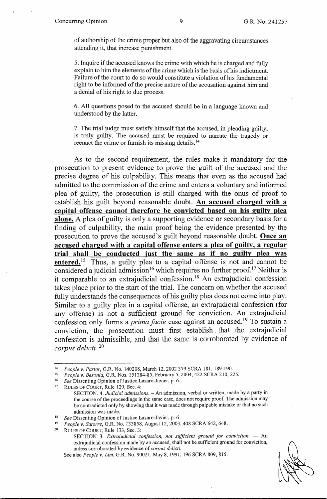of authorship of the crime proper but also of the aggravating circumstances attending it, that increase punishment.

5. Inquire if the accused knows the crime with which he is charged and fully explain to him the elements of the crime which is the basis of his indictment. Failure of the court to do so would constitute a violation of his fundamental right to be informed of the precise nature of the accusation against him and a denial of his right to due process.

6. All questions posed to the accused should be in a language known and understood by the latter.

7. The trial judge must satisfy himself that the accused, in pleading guilty, is truly guilty. The accused must be required to narrate the tragedy or reenact the crime or furnish its missing details.<sup>14</sup>

As to the second requirement, the rules make it mandatory for the prosecution to present evidence to prove the guilt of the accused and the precise degree of his culpability. This means that even as the accused had admitted to the commission of the crime and enters a voluntary and informed plea of guilty, the prosecution is still charged with the onus of proof to establish his guilt beyond reasonable doubt. **An accused charged with a capital offense cannot therefore be convicted based on his guilty plea alone.** A plea of guilty is only a supporting evidence or secondary basis for a finding of culpability, the main proof being the evidence presented by the prosecution to prove the accused's guilt beyond reasonable doubt. **Once an accused charged with a capital offense enters a plea of guilty, a regular trial shall be conducted just the same as if no guilty plea was entered.**<sup>15</sup> Thus, a guilty plea to a capital offense is not and cannot be considered a judicial admission<sup>16</sup> which requires no further proof.<sup>17</sup> Neither is it comparable to an extrajudicial confession.<sup>18</sup> An extrajudicial confession takes place prior to the start of the trial. The concern on whether the accused fully understands the consequences of his guilty plea does not come into play. Similar to a guilty plea in a capital offense, an extrajudicial confession (for any offense) is not a sufficient ground for conviction. An extrajudicial confession only forms a *prima facie* case against an accused.<sup>19</sup> To sustain a conviction, the prosecution must first establish that the extrajudicial confession is admissible, and that the same is corroborated by evidence of *corpus delicti.* <sup>20</sup>

zo RULES OF COURT, Rule 133, Sec. 3:

<sup>&</sup>lt;sup>14</sup> People v. Pastor, G.R. No. 140208, March 12, 2002 379 SCRA 181, 189-190.<br>
<sup>15</sup> People v. Besonia, G.R. Nos. 151284-85, February 5, 2004, 422 SCRA 210, 225.<br>
<sup>16</sup> See Dissenting Opinion of Justice Lazaro-Javier, p. 6.

SECTION. 4. *Judicial admissions*. - An admission, verbal or written, made by a party in the course of the proceedings in the same case, does not require proof. The admission may be contradicted only by showing that it was made through palpable mistake or that no such

admission was made.<br><sup>18</sup> *See* Dissenting Opinion of Justice Lazaro-Javier, p. 6<br><sup>19</sup> *People v. Satorre*, G.R. No. 133858, August 12, 2003, 408 SCRA 642, 648.

SECTION 3. *Extrajudicial confession, not sufficient ground for conviction.* - An extrajudicial confession made by an accused, shall not be sufficient ground for conviction, unless con-oborated by evidence of *corpus delicti.* 

See also *People v. Lim,* G.R. No. 90021, May 8, 1991, 196 SCRA 809,815.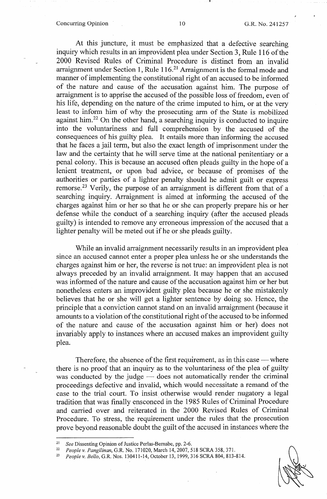### Concurring Opinion 10 G.R. No. 241257

1

At this juncture, it must be emphasized that a defective searching inquiry which results in an improvident plea under Section 3, Rule 116 of the 2000 Revised Rules of Criminal Procedure is distinct from an invalid arraignment under Section 1, Rule  $116<sup>21</sup>$  Arraignment is the formal mode and manner of implementing the constitutional right of an accused to be informed of the nature and cause of the accusation against him. The purpose of arraignment is to apprise the accused of the possible loss of freedom, even of his life, depending on the nature of the crime imputed to him, or at the very least to infonn him of why the prosecuting arm of the State is mobilized against him.<sup>22</sup> On the other hand, a searching inquiry is conducted to inquire into the voluntariness and full comprehension by the accused of the consequences of his guilty plea. It entails more than informing the accused that he faces a jail term, but also the exact length of imprisonment under the law and the certainty that he will serve time at the national penitentiary or a penal colony. This is because an accused often pleads guilty in the hope of a lenient treatment, or upon bad advice, or because of promises of the authorities or parties of a lighter penalty should he admit guilt or express remorse.<sup>23</sup> Verily, the purpose of an arraignment is different from that of a searching inquiry. Arraignment is aimed at informing the accused of the charges against him or her so that he or she can properly prepare his or her defense while the conduct of a searching inquiry (after the accused pleads guilty) is intended to remove any erroneous impression of the accused that a lighter penalty will be meted out if he or she pleads guilty.

While an invalid arraignment necessarily results in an improvident plea since an accused cannot enter a proper plea unless he or she understands the charges against him or her, the reverse is not true: an improvident plea is not always preceded by an invalid arraignment. It may happen that an accused was informed of the nature and cause of the accusation against him or her but nonetheless enters an improvident guilty plea because he or she mistakenly believes that he or she will get a lighter sentence by doing so. Hence, the principle that a conviction cannot stand on an invalid arraigmnent (because it amounts to a violation of the constitutional right of the accused to be infonned of the nature and cause of the accusation against him or her) does not invariably apply to instances where an accused makes an improvident guilty plea.

Therefore, the absence of the first requirement, as in this case — where there is no proof that an inquiry as to the voluntariness of the plea of guilty was conducted by the judge  $\frac{1}{\sqrt{2}}$  does not automatically render the criminal proceedings defective and invalid, which would necessitate a remand of the case to the trial court. To insist otherwise would render nugatory a legal tradition that was finally ensconced in the 1985 Rules of Criminal Procedure and carried over and reiterated in the 2000 Revised Rules of Criminal Procedure. To stress, the requirement under the rules that the prosecution prove beyond reasonable doubt the guilt of the accused in instances where the



<sup>&</sup>lt;sup>21</sup> See Dissenting Opinion of Justice Perlas-Bernabe, pp. 2-6.<br><sup>22</sup> People y Pangilinan G R No. 171020 March 14, 2007, 5

<sup>22</sup>*People v. Pangilinan,* G.R. No. 171020, March 14, 2007, 518 SCRA 358,371.

<sup>23</sup> *People v. Bello,* G.R. Nos. 130411-14, October 13, 1999, 316 SCRA 804, 813-814.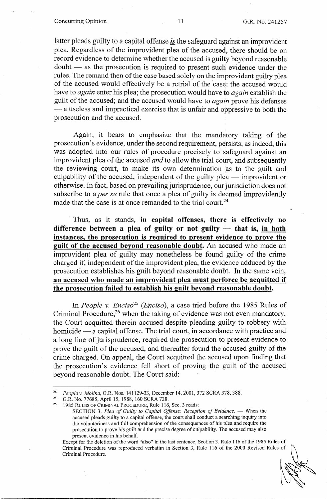#### Concurring Opinion 11 G.R. No. 241257

latter pleads guilty to a capital offense *is* the safeguard against an improvident plea. Regardless of the improvident plea of the accused, there should be on record evidence to determine whether the accused is guilty beyond reasonable  $d$ oubt  $-$  as the prosecution is required to present such evidence under the rules. The remand then of the case based solely on the improvident guilty plea of the accused would effectively be a retrial of the case: the accused would have to *again* enter his plea; the prosecution would have to *again* establish the guilt of the accused; and the accused would have to *again* prove his defenses - a useless and impractical exercise that is unfair and oppressive to both the prosecution and the accused.

Again, it bears to emphasize that the mandatory taking of the prosecution's evidence, under the second requirement, persists, as indeed, this was adopted into our rules of procedure precisely to safeguard against an improvident plea of the accused *and* to allow the trial court, and subsequently the reviewing court, to make its own determination as to the guilt and culpability of the accused, independent of the guilty plea  $-$  improvident or otherwise. In fact, based on prevailing jurisprudence, our jurisdiction does not subscribe to a *per se* rule that once a plea of guilty is deemed improvidently made that the case is at once remanded to the trial court.<sup>24</sup>

Thus, as it stands, **in capital offenses, there is effectively no**  difference between a plea of guilty or not guilty  $-$  that is, in both **instances, the prosecution is required to present evidence to prove the guilt of the accused beyond reasonable doubt.** An accused who made an improvident plea of guilty may nonetheless be found guilty of the crime charged if, independent of the improvident plea, the evidence adduced by the prosecution establishes his guilt beyond reasonable doubt. In the same vein, **an. accused who made an improvident plea must perforce be acquitted if the prosecution failed to establish his guilt beyond reasonable doubt.** 

In *People v. Enciso25 (Enciso),* a case tried before the 1985 Rules of Criminal Procedure,<sup>26</sup> when the taking of evidence was not even mandatory, the Court acquitted therein accused despite pleading guilty to robbery with homicide — a capital offense. The trial court, in accordance with practice and a long line of jurisprudence, required the prosecution to present evidence to prove the guilt of the accused, and thereafter found the accused guilty of the crime charged. On appeal, the Court acquitted the accused upon finding that the prosecution's evidence fell short of proving the guilt of the accused beyond reasonable doubt. The Court said:

<sup>24</sup>*People v. Molina,* G.R. Nos. 141129-33, December 14, 2001, 372 SCRA 378,388. 25 G.R. No. 77685, April 15, 1988, 160 SCRA 728. 26 1985 RULES OF CRIMINAL PROCEDURE, Rule 116, Sec. 3 reads:

SECTION 3. Plea of Guilty to Capital Offense; Reception of Evidence. - When the accused pleads guilty to a capital offense, the court shall conduct a searching inquiry into the voluntariness and full comprehension of the consequences of his plea and require the prosecution to prove his guilt and the precise degree of culpability. The accused may also present evidence in his behalf.

Except for the deletion of the word "also" in the last sentence, Section 3, Rule 116 of the 1985 Rules of Criminal Procedure was reproduced verbatim in Section 3, Rule 116 of the 2000 Revised Rules of Criminal Procedure.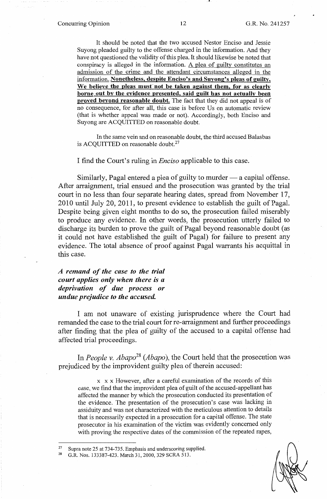#### Concurring Opinion 12 G.R. No. 241257

-•

It should be noted that the two accused Nestor Enciso and Jessie Suyong pleaded guilty to the offense charged in the information. And they have not questioned the validity of this plea. It should likewise be noted that conspiracy is alleged in the information. A plea of guilty constitutes an admission of the crime and the attendant circumstances alleged in the information. Nonetheless, despite Enciso's and Suyong's pleas of guilty, We believe the pleas must not be taken against them, for as clearly **borne out by the evidence presented, said guilt has not actually been proved beyond reasonable doubt.** The fact that they did not appeal is of no consequence, for after all, this case is before Us on automatic review (that is whether appeal was made or not). Accordingly, both Enciso and Suyong are ACQUITTED on reasonable doubt.

In the same vein and on reasonable doubt, the third accused Balasbas is ACQUITTED on reasonable doubt.<sup>27</sup>

I find the Court's ruling in *Enciso* applicable to this case.

Similarly, Pagal entered a plea of guilty to murder  $-$  a capital offense. After arraigmnent, trial ensued and the prosecution was granted by the trial court in no less than four separate hearing dates, spread from November 17, 2010 until July 20, 2011, to present evidence to establish the guilt of Pagal. Despite being given eight months to do so, the prosecution failed miserably to produce any evidence. In other words, the prosecution utterly failed to discharge its burden to prove the guilt of Pagal beyond reasonable doubt ( as it could not have established the guilt of Pagal) for failure to present any evidence. The total absence of proof against Pagal warrants his acquittal in this case.

*A remand of the case to the trial court applies only when there is a deprivation of due process or undue prejudice to the accused.* 

I am not unaware of existing jurisprudence where the Court had remanded the case to the trial court for re-arraignment and further proceedings after finding that the plea of guilty of the accused to a capital offense had affected trial proceedings.

In *People v. Abapo*<sup>28</sup> (*Abapo*), the Court held that the prosecution was prejudiced by the improvident guilty plea of therein accused:

x x x However, after a careful examination of the records of this case, we find that the improvident plea of guilt of the accused-appellant has affected the manner by which the prosecution conducted its presentation of the evidence. The presentation of the prosecution's case was lacking in assiduity and was not characterized with the meticulous attention to details that is necessarily expected in a prosecution for a capital offense. The state prosecutor in his examination of the victim was evidently concerned only with proving the respective dates of the commission of the repeated rapes,

Supra note 25 at 734-735. Emphasis and underscoring supplied.<br>G.R. Nos. 133387-423. March 31, 2000, 329 SCRA 513.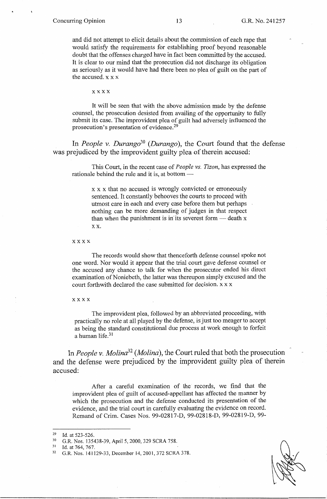and did not attempt to elicit details about the commission of each rape that would satisfy the requirements for establishing proof beyond reasonable doubt that the offenses charged have in fact been committed by the accused. It is clear to our mind that the prosecution did not discharge its obligation as seriously as it would have had there been no plea of guilt on the part of the accused. x x x

**xxxx** 

It will be seen that with the above admission made by the defense counsel, the prosecution desisted from availing of the opportunity to fully submit its case. The improvident plea of guilt had adversely influenced the prosecution's presentation of evidence.<sup>29</sup>

In *People v. Durango*<sup>30</sup> (*Durango*), the Court found that the defense was prejudiced by the improvident guilty plea of therein accused:

This Court, in the recent case of *People vs. Tizon,* has expressed the rationale behind the rule and it is, at bottom  $-$ 

> x x x that no accused is wrongly convicted or erroneously sentenced. It constantly behooves the courts to proceed with utmost care in each and every case before them but perhaps nothing can be more demanding of judges in that respect than when the punishment is in its severest form  $-$  death x xx.

xxxx

The records would show that thenceforth defense counsel spoke not one word. Nor would it appear that the trial court gave defense counsel or the accused any chance to talk for when the prosecutor ended his direct examination of Noniebeth, the latter was thereupon simply excused and the court forthwith declared the case submitted for decision. x x x

xxxx

The improvident plea, followed by an abbreviated proceeding, with practically no role at all played by the defense, is just too meager to accept as being the standard constitutional due process at work enough to forfeit a human life.<sup>31</sup>

In *People v. Molina32 (Molina),* the Court ruled that both the prosecution and the defense were prejudiced by the improvident guilty plea of therein accused:

After a careful examination of the records, we find that the improvident plea of guilt of accused-appellant has affected the manner by which the prosecution and the defense conducted its presentation of the evidence, and the trial court in carefully evaluating the evidence on record. Remand of Crim. Cases Nos. 99-02817-D, 99-02818-D, 99-02819-D, 99-

<sup>29</sup> Id. at 523-526.<br>
30 G.R. Nos. 135438-39, April 5, 2000, 329 SCRA 758.<br>
31 Id. at 764, 767.<br>
32 G.R. Nos. 141129-33, December 14, 2001, 372 SCRA 378.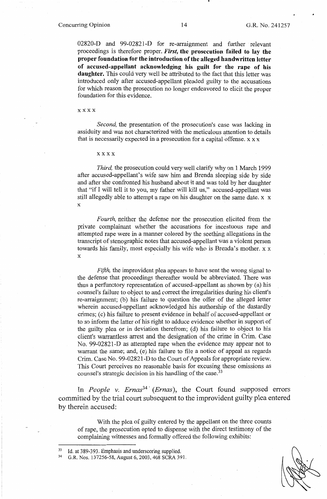02820-D and 99-02821-D for re-arraignment and further relevant proceedings is therefore proper. *First,* **the prosecution failed to lay the proper foundation for the introduction of the alleged handwritten letter**  of accused-appellant acknowledging his guilt for the rape of his **daughter.** This could very well be attributed to the fact that this letter was introduced only after accused-appellant pleaded guilty to the accusations for which reason the prosecution no longer endeavored to elicit the proper foundation for this evidence.

#### xxxx

*Second,* the presentation of the prosecution's case was lacking in assiduity and was not characterized with the meticulous attention to details that is necessarily expected in a prosecution for a capital offense.  $x x x$ 

#### xxxx

*Third,* the prosecution could very well clarify why on I March 1999 after accused-appellant's wife saw him and Brenda sleeping side by side and after she confronted his husband about it and was told by her daughter that "if I will tell it to you, my father will kill us," accused-appellant was still allegedly able to attempt a rape on his daughter on the same date. x x X

*Fourth,* neither the defense nor the prosecution elicited from the private complainant whether the accusations for incestuous rape and attempted rape were in a manner colored by the seething allegations in the transcript of stenographic notes that accused-appellant was a violent person towards his family, most especially his wife who is Brenda's mother. xx X

*Fifth*, the improvident plea appears to have sent the wrong signal to the defense that proceedings thereafter would be abbreviated. There was thus a perfunctory representation of accused-appellant as shown by (a) his counsel's failure to object to and correct the irregularities during his client's re-arraignment; (b) his failure to question the offer of the alleged letter wherein accused-appellant acknowledged his authorship of the dastardly crimes; ( c) his failure to present evidence in behalf of accused-appellant or to so inform the latter of his right to adduce evidence whether in support of the guilty plea or in deviation therefrom; (d) his failure to object to his client's warrantless arrest and the designation of the crime in Crim. Case No. 99-02821-D as attempted rape when the evidence may appear not to warrant the same; and, (e) his failure to file a notice of appeal as regards Crim. Case No. 99-02821-D to the Court of Appeals for appropriate review. This Court perceives no reasonable basis for excusing these omissions as counsel's strategic decision in his handling of the case.<sup>33</sup>

In *People v. Ernas*<sup>34</sup> (*Ernas*), the Court found supposed errors committed by the trial court subsequent to the improvident guilty plea entered by therein accused:

With the plea of guilty entered by the appellant on the three counts of rape, the prosecution opted to dispense with the direct testimony of the complaining witnesses and formally offered the following exhibits:

<sup>&</sup>lt;sup>33</sup> Id. at 389-393. Emphasis and underscoring supplied.<br><sup>34</sup> G.R. Nos. 137256-58, August 6, 2003, 408 SCRA 391.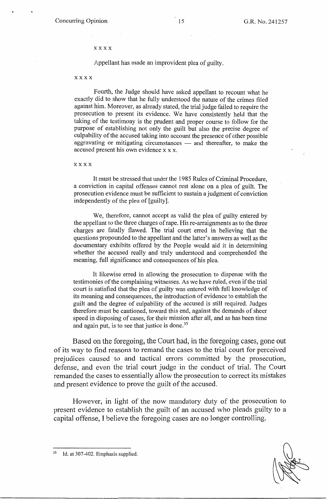### xxxx

Appellant has made an improvident plea of guilty.

#### xxxx

Fourth, the Judge should have asked appellant to recount what he exactly did to show that he fully understood the nature of the crimes filed against him. Moreover, as already stated, the trial judge failed to require the prosecution to present its evidence. We have consistently held that the taking of the testimony is the prudent and proper course to follow for the purpose of establishing not only the guilt but also the precise degree of culpability of the accused taking into account the presence of other possible aggravating or mitigating circumstances  $-$  and thereafter, to make the accused present his own evidence x x x.

xxxx

It must be stressed that under the 1985 Rules of Criminal Procedure, a conviction in capital offenses cannot rest alone on a plea of guilt. The prosecution evidence must be sufficient to sustain a judgment of conviction independently of the plea of [guilty].

We, therefore, cannot accept as valid the plea of guilty entered by the appellant to the three charges of rape. His re-arraignments as to the three charges are fatally flawed. The trial court erred in believing that the questions propounded to the appellant and the latter's answers as well as the documentary exhibits offered by the People would aid it in determining whether the accused really and truly understood and comprehended the meaning, full significance and consequences of his plea.

It likewise erred in allowing the prosecution to dispense with the testimonies of the complaining witnesses. As we have ruled, even if the trial court is satisfied that the plea of guilty was entered with full knowledge of its meaning and consequences, the introduction of evidence to establish the guilt and the degree of culpability of the accused is still required. Judges therefore must be cautioned, toward this end, against the demands of sheer speed in disposing of cases, for their mission after all, and as has been time and again put, is to see that justice is done.<sup>35</sup>

Based on the foregoing, the Court had, in the foregoing cases, gone out of its way to find reasons to remand the cases to the trial court for perceived prejudices caused to and tactical errors committed by the prosecution, defense, and even the trial court judge in the conduct of trial. The Court remanded the cases to essentially allow the prosecution to correct its mistakes and present evidence to prove the guilt of the accused.

However, in light of the now mandatory duty of the prosecution to present evidence to establish the guilt of an accused who pleads guilty to a capital offense, I believe the foregoing cases are no longer controlling.

Id. at 307-402. Emphasis supplied.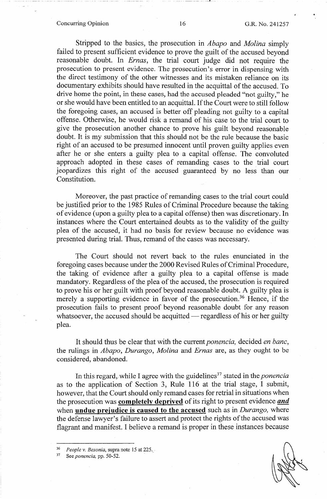### Concurring Opinion 16 G.R. No. 241257

Stripped to the basics, the prosecution in *Abapo* and *Molina* simply failed to present sufficient evidence to prove the guilt of the accused beyond reasonable doubt. In *Ernas,* the trial court judge did not require the prosecution to present evidence. The prosecution's error in dispensing with the direct testimony of the other witnesses and its mistaken reliance on its documentary exhibits should have resulted in the acquittal of the accused. To drive home the point, in these cases, had the accused pleaded "not guilty," he or she would have been entitled to an acquittal. If the Court were to still follow the foregoing cases, an accused is better off pleading not guilty to a capital offense. Otherwise, he would risk a remand of his case to the trial court to give the prosecution another chance to prove his guilt beyond reasonable doubt. It is my submission that this should not be the rule because the basic right of an accused to be presumed innocent until proven guilty applies even after he or she enters a guilty plea to a capital offense. The convoluted approach adopted in these cases of remanding cases to the trial court jeopardizes this right of the accused guaranteed by no less than our Constitution.

Moreover, the past practice of remanding cases to the trial court could be justified prior to the 1985 Rules of Criminal Procedure because the taking of evidence ( upon a guilty plea to a capital offense) then was discretionary. In instances where the Court entertained doubts as to the validity of the guilty plea of the accused, it had no basis for review because no evidence was presented during trial. Thus, remand of the cases was necessary.

The Court should not revert back to the rules enunciated in the foregoing cases because under the 2000 Revised Rules of Criminal Procedure, the taking of evidence after a guilty plea to a capital offense is made mandatory. Regardless of the plea of the accused, the prosecution is required to prove his or her guilt with proof beyond reasonable doubt. A guilty plea is merely a supporting evidence in favor of the prosecution.<sup>36</sup> Hence, if the prosecution fails to present proof beyond reasonable doubt for any reason whatsoever, the accused should be acquitted  $-$  regardless of his or her guilty plea.

It should thus be clear that with the current *ponencia,* decided *en bane,*  the rulings in *Abapo, Durango, Molina* and *Ernas* are, as they ought to be considered, abandoned.

In this regard, while I agree with the guidelines<sup>37</sup> stated in the *ponencia* as to the application of Section 3, Rule 116 at the trial stage, I submit, however, that the Court should only remand cases for retrial in situations when the prosecution was **completely deprived** of its right to present evidence *and*  when **undue prejudice is caused to the accused** such as in *Durango,* where the defense lawyer's failure to assert and protect the rights of the accused was flagrant and manifest. I believe a remand is proper in these instances because

*\_\_ i* 

<sup>36</sup>*People v. Besonia,* supra note 15 at 225.\_ 37 See *ponencia,* pp. 50-52.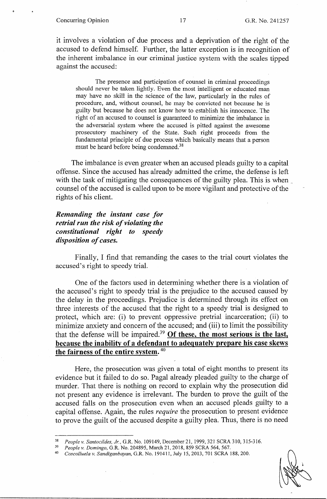it involves a violation of due process and a deprivation of the right of the accused to defend himself. Further, the latter exception is in recognition of the inherent imbalance in our criminal justice system with the scales tipped against the accused:

The presence and participation of counsel in criminal proceedings should never be taken lightly. Even the most intelligent or educated man may have no skill in the science of the law, particularly in the rules of procedure, and, without counsel, he may be convicted not because he is guilty but because he does not know how to establish his innocence. The right of an accused to counsel is guaranteed to minimize the imbalance in the adversarial system where the accused is pitted against the awesome prosecutory machinery of the State. Such right proceeds from the fundamental principle of due process which basically means that a person must be heard before being condemned.<sup>38</sup>

The imbalance is even greater when an accused pleads guilty to a capital offense. Since the accused has already admitted the crime, the defense is left with the task of mitigating the consequences of the guilty plea. This is when counsel of the accused is called upon to be more vigilant and protective of the rights of his client.

# *Remanding the instant case for retrial run the risk of violating the constitutional right to speedy disposition of cases.*

Finally, I find that remanding the cases to the trial court violates the accused's right to speedy trial.

One of the factors used in determining whether there is a violation of the accused's right to speedy trial is the prejudice to the accused caused by the delay in the proceedings. Prejudice is determined through its effect on three interests of the accused that the right to a speedy trial is designed to protect, which are: (i) to prevent oppressive pretrial incarceration; (ii) to minimize anxiety and concern of the accused; and (iii) to limit the possibility that the defense will be impaired.39 **Of these, the most serious is the last, because the inability of** a **defendant to adequately prepare his case skews the fairness of the entire system.** <sup>40</sup>

Here, the prosecution was given a total of eight months to present its evidence but it failed to do so. Pagal already pleaded guilty to the charge of murder. That there is nothing on record to explain why the prosecution did not present any evidence is irrelevant. The burden to prove the guilt of the accused falls on the prosecution even when an accused pleads guilty to a capital offense. Again, the rules *require* the prosecution to present evidence to prove the guilt of the accused despite a guilty plea. Thus, there is no need

<sup>38</sup>*Peoplev.Santocildes,Jr.,G.R.No.109149,December21,* 1999,321 SCRA310,315-316. 39 *People v. Domingo,* G.R. No. 204895, March 21, 2018, 859 SCRA 564, 567.

<sup>4</sup> ° *Coscolluela v. Sandiganbayan,* G.R. No. 191411, July 15, 2013, 701 SCRA 188,200.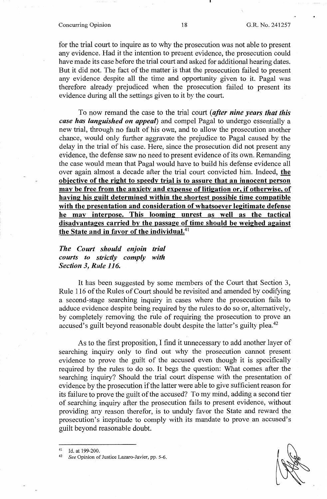# Concurring Opinion 18 18 G.R. No. 241257

for the trial court to inquire as to why the prosecution was not able to present any evidence. Had it the intention to present evidence, the prosecution could have made its case before the trial court and asked for additional hearing dates. But it did not. The fact of the matter is that the prosecution failed to present any evidence despite all the time and opportunity given to it. Pagal was therefore already prejudiced when the prosecution failed to present its evidence during all the settings given to it by the court.

To now remand the case to the trial court *(after nine years that this case has languished on appeal)* and compel Pagal to undergo essentially a new trial, through no fault of his own, and to allow the prosecution another chance, would only further aggravate the prejudice to Pagal caused by the delay in the trial of his case. Here, since the prosecution did not present any evidence, the defense saw no need to present evidence of its own. Remanding the case would mean that Pagal would have to build his defense evidence all over again almost a decade after the trial court convicted him. Indeed, **the objective of the right to speedy trial is to assure that an innocent person may be free from the anxiety and expense of litigation or, if otherwise, of having his guilt determined within the shortest possible time compatible with the presentation and consideration of whatsoever legitimate defense he may interpose. This looming unrest as well as the tactical disadvantages carried by the passage of time should be weighed against the State and in favor of the individual.<sup>41</sup>**

*The Court should enjoin trial courts to strictly comply with Section 3, Rule 116.* 

It has been suggested by some members of the Court that Section 3, Rule 116 of the Rules of Court should be revisited and amended by codifying a second-stage searching inquiry in cases where the prosecution fails to adduce evidence despite being required by the rules to do so or, alternatively, by completely removing the rule of requiring the prosecution to prove an accused's guilt beyond reasonable doubt despite the latter's guilty plea.<sup>42</sup>

As to the first proposition, I find it unnecessary to add another layer of searching inquiry only to find out why the prosecution cannot present evidence to prove the guilt of the accused even though it is specifically required by the rules to do so. It begs the question: What comes after the searching inquiry? Should the trial court dispense with the presentation of evidence by the prosecution if the latter were able to give sufficient reason for its failure to prove the guilt of the accused? To my mind, adding a second tier of searching inquiry after the prosecution fails to present evidence, without providing any reason therefor, is to unduly favor the State and reward the prosecution's ineptitude to comply with its mandate to prove an accused's guilt beyond reasonable doubt.

<sup>41</sup> Id. at 199-200. 42 *See* Opinion of Justice Lazaro-Javier, pp. 5-6.